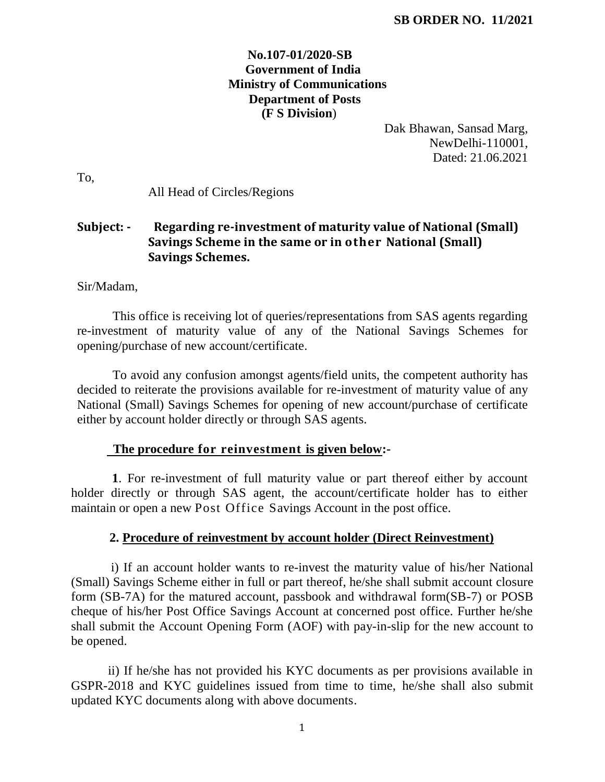## **No.107-01/2020-SB Government of India Ministry of Communications Department of Posts (F S Division**)

Dak Bhawan, Sansad Marg, NewDelhi-110001, Dated: 21.06.2021

To,

All Head of Circles/Regions

# **Subject: - Regarding re-investment of maturity value of National (Small) Savings Scheme in the same or in other National (Small) Savings Schemes.**

Sir/Madam,

This office is receiving lot of queries/representations from SAS agents regarding re-investment of maturity value of any of the National Savings Schemes for opening/purchase of new account/certificate.

To avoid any confusion amongst agents/field units, the competent authority has decided to reiterate the provisions available for re-investment of maturity value of any National (Small) Savings Schemes for opening of new account/purchase of certificate either by account holder directly or through SAS agents.

#### **The procedure for reinvestment is given below:-**

 **1**. For re-investment of full maturity value or part thereof either by account holder directly or through SAS agent, the account/certificate holder has to either maintain or open a new Post Office Savings Account in the post office.

### **2. Procedure of reinvestment by account holder (Direct Reinvestment)**

 i) If an account holder wants to re-invest the maturity value of his/her National (Small) Savings Scheme either in full or part thereof, he/she shall submit account closure form (SB-7A) for the matured account, passbook and withdrawal form(SB-7) or POSB cheque of his/her Post Office Savings Account at concerned post office. Further he/she shall submit the Account Opening Form (AOF) with pay-in-slip for the new account to be opened.

 ii) If he/she has not provided his KYC documents as per provisions available in GSPR-2018 and KYC guidelines issued from time to time, he/she shall also submit updated KYC documents along with above documents.

1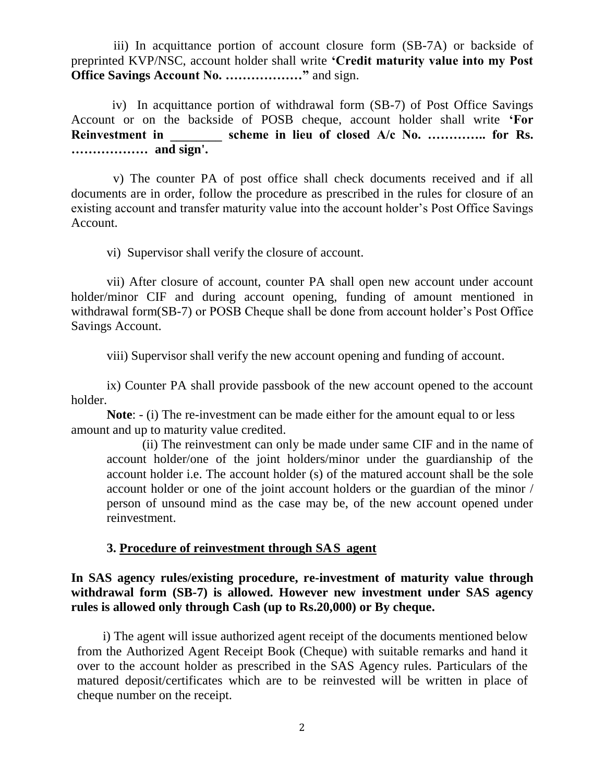iii) In acquittance portion of account closure form (SB-7A) or backside of preprinted KVP/NSC, account holder shall write **'Credit maturity value into my Post Office Savings Account No. ………………"** and sign.

 iv) In acquittance portion of withdrawal form (SB-7) of Post Office Savings Account or on the backside of POSB cheque, account holder shall write **'For**  Reinvestment in **Scheme in lieu of closed A/c No. ..............** for Rs. **……………… and sign'.**

 v) The counter PA of post office shall check documents received and if all documents are in order, follow the procedure as prescribed in the rules for closure of an existing account and transfer maturity value into the account holder's Post Office Savings Account.

vi) Supervisor shall verify the closure of account.

vii) After closure of account, counter PA shall open new account under account holder/minor CIF and during account opening, funding of amount mentioned in withdrawal form(SB-7) or POSB Cheque shall be done from account holder's Post Office Savings Account.

viii) Supervisor shall verify the new account opening and funding of account.

ix) Counter PA shall provide passbook of the new account opened to the account holder.

**Note**: - (i) The re-investment can be made either for the amount equal to or less amount and up to maturity value credited.

(ii) The reinvestment can only be made under same CIF and in the name of account holder/one of the joint holders/minor under the guardianship of the account holder i.e. The account holder (s) of the matured account shall be the sole account holder or one of the joint account holders or the guardian of the minor / person of unsound mind as the case may be, of the new account opened under reinvestment.

### **3. Procedure of reinvestment through SAS agent**

**In SAS agency rules/existing procedure, re-investment of maturity value through withdrawal form (SB-7) is allowed. However new investment under SAS agency rules is allowed only through Cash (up to Rs.20,000) or By cheque.**

i) The agent will issue authorized agent receipt of the documents mentioned below from the Authorized Agent Receipt Book (Cheque) with suitable remarks and hand it over to the account holder as prescribed in the SAS Agency rules. Particulars of the matured deposit/certificates which are to be reinvested will be written in place of cheque number on the receipt.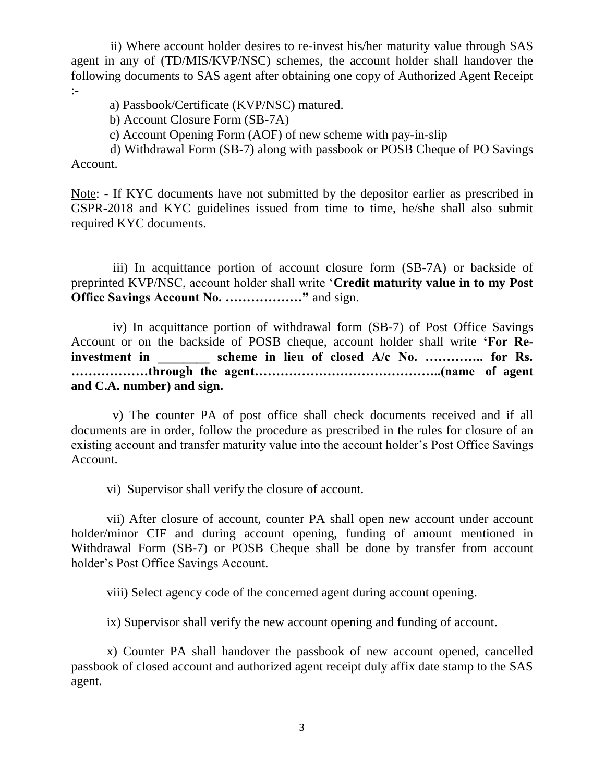ii) Where account holder desires to re-invest his/her maturity value through SAS agent in any of (TD/MIS/KVP/NSC) schemes, the account holder shall handover the following documents to SAS agent after obtaining one copy of Authorized Agent Receipt :-

a) Passbook/Certificate (KVP/NSC) matured.

b) Account Closure Form (SB-7A)

c) Account Opening Form (AOF) of new scheme with pay-in-slip

 d) Withdrawal Form (SB-7) along with passbook or POSB Cheque of PO Savings Account.

Note: - If KYC documents have not submitted by the depositor earlier as prescribed in GSPR-2018 and KYC guidelines issued from time to time, he/she shall also submit required KYC documents.

 iii) In acquittance portion of account closure form (SB-7A) or backside of preprinted KVP/NSC, account holder shall write '**Credit maturity value in to my Post Office Savings Account No. ………………"** and sign.

 iv) In acquittance portion of withdrawal form (SB-7) of Post Office Savings Account or on the backside of POSB cheque, account holder shall write **'For Re**investment in **in scheme in lieu of closed A/c No. ..............** for Rs. **………………through the agent……………………………………..(name of agent and C.A. number) and sign.**

 v) The counter PA of post office shall check documents received and if all documents are in order, follow the procedure as prescribed in the rules for closure of an existing account and transfer maturity value into the account holder's Post Office Savings Account.

vi) Supervisor shall verify the closure of account.

vii) After closure of account, counter PA shall open new account under account holder/minor CIF and during account opening, funding of amount mentioned in Withdrawal Form (SB-7) or POSB Cheque shall be done by transfer from account holder's Post Office Savings Account.

viii) Select agency code of the concerned agent during account opening.

ix) Supervisor shall verify the new account opening and funding of account.

x) Counter PA shall handover the passbook of new account opened, cancelled passbook of closed account and authorized agent receipt duly affix date stamp to the SAS agent.